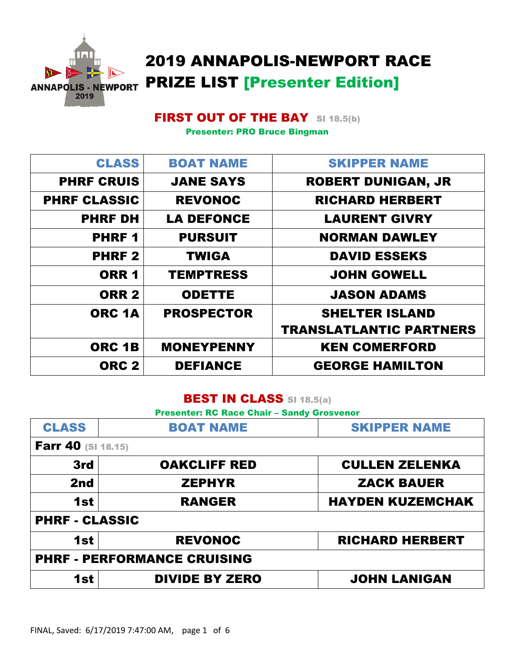

# 2019 ANNAPOLIS-NEWPORT RACE PRIZE LIST [Presenter Edition]

## **FIRST OUT OF THE BAY** SI 18.5(b)

Presenter: PRO Bruce Bingman

| <b>CLASS</b>        | <b>BOAT NAME</b>  | <b>SKIPPER NAME</b>            |
|---------------------|-------------------|--------------------------------|
| <b>PHRF CRUIS</b>   | <b>JANE SAYS</b>  | <b>ROBERT DUNIGAN, JR</b>      |
| <b>PHRF CLASSIC</b> | <b>REVONOC</b>    | <b>RICHARD HERBERT</b>         |
| <b>PHRF DH</b>      | <b>LA DEFONCE</b> | <b>LAURENT GIVRY</b>           |
| <b>PHRF1</b>        | <b>PURSUIT</b>    | <b>NORMAN DAWLEY</b>           |
| <b>PHRF2</b>        | <b>TWIGA</b>      | <b>DAVID ESSEKS</b>            |
| ORR <sub>1</sub>    | <b>TEMPTRESS</b>  | <b>JOHN GOWELL</b>             |
| <b>ORR 2</b>        | <b>ODETTE</b>     | <b>JASON ADAMS</b>             |
| ORC <sub>1A</sub>   | <b>PROSPECTOR</b> | <b>SHELTER ISLAND</b>          |
|                     |                   | <b>TRANSLATLANTIC PARTNERS</b> |
| ORC 1B              | <b>MONEYPENNY</b> | <b>KEN COMERFORD</b>           |
| ORC <sub>2</sub>    | <b>DEFIANCE</b>   | <b>GEORGE HAMILTON</b>         |

#### BEST IN CLASS SI 18.5(a)

Presenter: RC Race Chair – Sandy Grosvenor

| <b>CLASS</b>              | <b>BOAT NAME</b>                   | <b>SKIPPER NAME</b>     |
|---------------------------|------------------------------------|-------------------------|
| <b>Farr 40 (SI 18.15)</b> |                                    |                         |
| 3rd                       | <b>OAKCLIFF RED</b>                | <b>CULLEN ZELENKA</b>   |
| 2nd                       | <b>ZEPHYR</b>                      | <b>ZACK BAUER</b>       |
| 1st                       | <b>RANGER</b>                      | <b>HAYDEN KUZEMCHAK</b> |
| <b>PHRF - CLASSIC</b>     |                                    |                         |
| 1st                       | <b>REVONOC</b>                     | <b>RICHARD HERBERT</b>  |
|                           | <b>PHRF - PERFORMANCE CRUISING</b> |                         |
| 1st                       | <b>DIVIDE BY ZERO</b>              | <b>JOHN LANIGAN</b>     |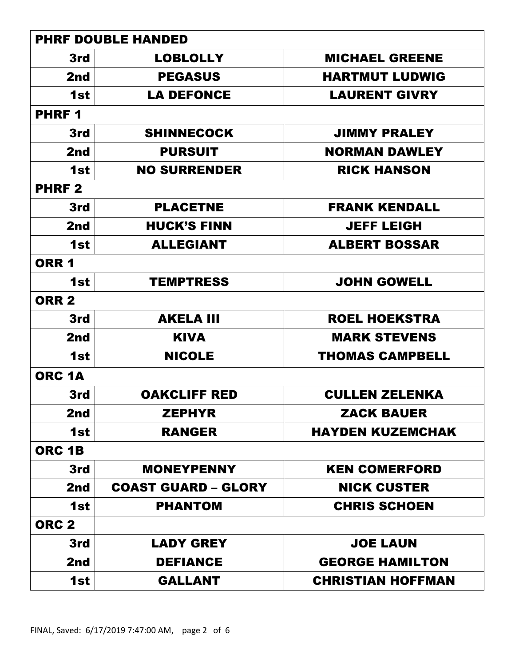|                   | <b>PHRF DOUBLE HANDED</b>  |                          |
|-------------------|----------------------------|--------------------------|
| 3rd               | <b>LOBLOLLY</b>            | <b>MICHAEL GREENE</b>    |
| 2nd               | <b>PEGASUS</b>             | <b>HARTMUT LUDWIG</b>    |
| 1st               | <b>LA DEFONCE</b>          | <b>LAURENT GIVRY</b>     |
| <b>PHRF1</b>      |                            |                          |
| 3rd               | <b>SHINNECOCK</b>          | <b>JIMMY PRALEY</b>      |
| 2nd               | <b>PURSUIT</b>             | <b>NORMAN DAWLEY</b>     |
| 1st               | <b>NO SURRENDER</b>        | <b>RICK HANSON</b>       |
| <b>PHRF2</b>      |                            |                          |
| 3rd               | <b>PLACETNE</b>            | <b>FRANK KENDALL</b>     |
| 2nd               | <b>HUCK'S FINN</b>         | <b>JEFF LEIGH</b>        |
| 1st               | <b>ALLEGIANT</b>           | <b>ALBERT BOSSAR</b>     |
| <b>ORR 1</b>      |                            |                          |
| 1st               | <b>TEMPTRESS</b>           | <b>JOHN GOWELL</b>       |
| <b>ORR 2</b>      |                            |                          |
| 3rd               | <b>AKELA III</b>           | <b>ROEL HOEKSTRA</b>     |
| 2nd               | <b>KIVA</b>                | <b>MARK STEVENS</b>      |
| 1st               | <b>NICOLE</b>              | <b>THOMAS CAMPBELL</b>   |
| ORC <sub>1A</sub> |                            |                          |
| 3rd               | <b>OAKCLIFF RED</b>        | <b>CULLEN ZELENKA</b>    |
| 2nd               | <b>ZEPHYR</b>              | <b>ZACK BAUER</b>        |
| 1st               | <b>RANGER</b>              | <b>HAYDEN KUZEMCHAK</b>  |
| ORC <sub>1B</sub> |                            |                          |
| 3rd               | <b>MONEYPENNY</b>          | <b>KEN COMERFORD</b>     |
| 2nd               | <b>COAST GUARD - GLORY</b> | <b>NICK CUSTER</b>       |
| 1st               | <b>PHANTOM</b>             | <b>CHRIS SCHOEN</b>      |
| ORC <sub>2</sub>  |                            |                          |
| 3rd               | <b>LADY GREY</b>           | <b>JOE LAUN</b>          |
| 2nd               | <b>DEFIANCE</b>            | <b>GEORGE HAMILTON</b>   |
| 1st               | <b>GALLANT</b>             | <b>CHRISTIAN HOFFMAN</b> |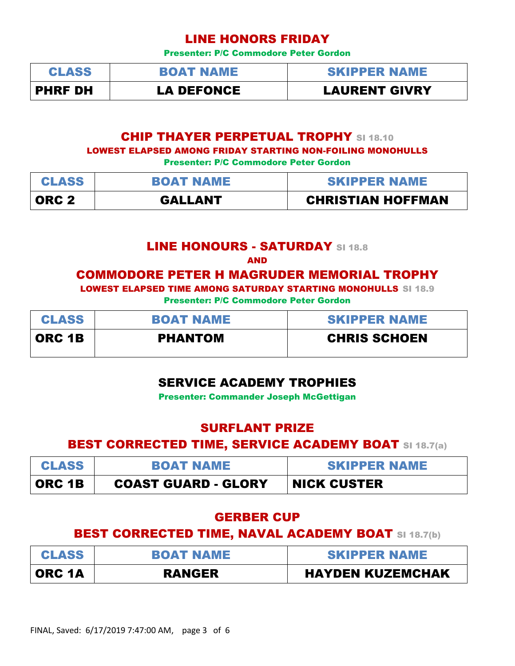### LINE HONORS FRIDAY

Presenter: P/C Commodore Peter Gordon

| <b>CLASS</b>   | <b>BOAT NAME</b>  | <b>SKIPPER NAME</b>  |
|----------------|-------------------|----------------------|
| <b>PHRF DH</b> | <b>LA DEFONCE</b> | <b>LAURENT GIVRY</b> |

#### **CHIP THAYER PERPETUAL TROPHY SI 18.10**

LOWEST ELAPSED AMONG FRIDAY STARTING NON-FOILING MONOHULLS

Presenter: P/C Commodore Peter Gordon

| <b>CLASS</b> | <b>BOAT NAME</b> | <b>SKIPPER NAME</b>      |
|--------------|------------------|--------------------------|
| ORC 2        | <b>GALLANT</b>   | <b>CHRISTIAN HOFFMAN</b> |

#### LINE HONOURS - SATURDAY SI 18.8

AND

#### COMMODORE PETER H MAGRUDER MEMORIAL TROPHY

LOWEST ELAPSED TIME AMONG SATURDAY STARTING MONOHULLS SI 18.9

Presenter: P/C Commodore Peter Gordon

| <b>CLASS</b>  | <b>BOAT NAME</b> | <b>SKIPPER NAME</b> |
|---------------|------------------|---------------------|
| <b>ORC 1B</b> | <b>PHANTOM</b>   | <b>CHRIS SCHOEN</b> |

## SERVICE ACADEMY TROPHIES

Presenter: Commander Joseph McGettigan

#### SURFLANT PRIZE

#### **BEST CORRECTED TIME, SERVICE ACADEMY BOAT SI 18.7(a)**

| <b>CLASS</b>  | <b>BOAT NAME</b>           | <b>SKIPPER NAME</b> |
|---------------|----------------------------|---------------------|
| <b>ORC 1B</b> | <b>COAST GUARD - GLORY</b> | <b>NICK CUSTER</b>  |

## GERBER CUP

## **BEST CORRECTED TIME, NAVAL ACADEMY BOAT SI 18.7(b)**

| <b>CLASS</b> | <b>BOAT NAME</b> | <b>SKIPPER NAME</b>     |
|--------------|------------------|-------------------------|
| ORC 1A       | <b>RANGER</b>    | <b>HAYDEN KUZEMCHAK</b> |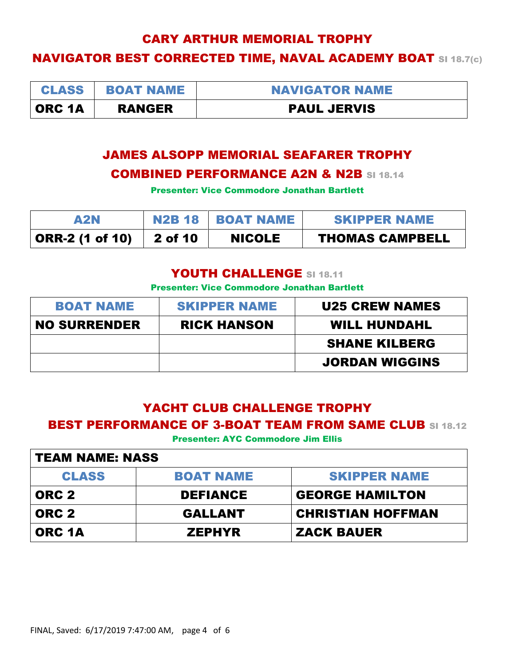## CARY ARTHUR MEMORIAL TROPHY

## NAVIGATOR BEST CORRECTED TIME, NAVAL ACADEMY BOAT SI 18.7(c)

| <b>CLASS</b>  | <b>BOAT NAME</b> | <b>NAVIGATOR NAME</b> |
|---------------|------------------|-----------------------|
| <b>ORC 1A</b> | <b>RANGER</b>    | <b>PAUL JERVIS</b>    |

## JAMES ALSOPP MEMORIAL SEAFARER TROPHY COMBINED PERFORMANCE A2N & N2B SI 18.14

Presenter: Vice Commodore Jonathan Bartlett

| A2N             |         | N2B 18   BOAT NAME | <b>SKIPPER NAME</b>    |
|-----------------|---------|--------------------|------------------------|
| ORR-2 (1 of 10) | 2 of 10 | <b>NICOLE</b>      | <b>THOMAS CAMPBELL</b> |

#### YOUTH CHALLENGE SI 18.11

Presenter: Vice Commodore Jonathan Bartlett

| <b>BOAT NAME</b>    | <b>SKIPPER NAME</b> | <b>U25 CREW NAMES</b> |
|---------------------|---------------------|-----------------------|
| <b>NO SURRENDER</b> | <b>RICK HANSON</b>  | <b>WILL HUNDAHL</b>   |
|                     |                     | <b>SHANE KILBERG</b>  |
|                     |                     | <b>JORDAN WIGGINS</b> |

## YACHT CLUB CHALLENGE TROPHY **BEST PERFORMANCE OF 3-BOAT TEAM FROM SAME CLUB SI 18.12**

Presenter: AYC Commodore Jim Ellis

| <b>TEAM NAME: NASS</b> |                  |                          |  |
|------------------------|------------------|--------------------------|--|
| <b>CLASS</b>           | <b>BOAT NAME</b> | <b>SKIPPER NAME</b>      |  |
| ORC <sub>2</sub>       | <b>DEFIANCE</b>  | <b>GEORGE HAMILTON</b>   |  |
| ORC <sub>2</sub>       | <b>GALLANT</b>   | <b>CHRISTIAN HOFFMAN</b> |  |
| ORC 1A                 | <b>ZEPHYR</b>    | <b>ZACK BAUER</b>        |  |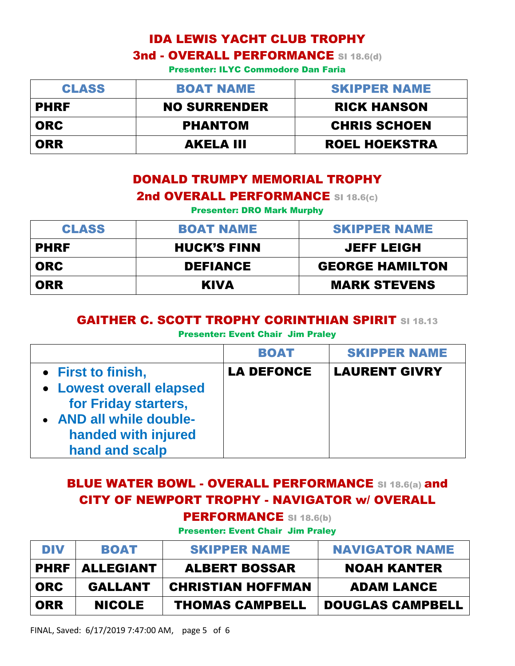# IDA LEWIS YACHT CLUB TROPHY **3nd - OVERALL PERFORMANCE SI 18.6(d)**

Presenter: ILYC Commodore Dan Faria

| <b>CLASS</b> | <b>BOAT NAME</b>    | <b>SKIPPER NAME</b>  |
|--------------|---------------------|----------------------|
| <b>PHRF</b>  | <b>NO SURRENDER</b> | <b>RICK HANSON</b>   |
| <b>ORC</b>   | <b>PHANTOM</b>      | <b>CHRIS SCHOEN</b>  |
| ORR          | <b>AKELA III</b>    | <b>ROEL HOEKSTRA</b> |

## DONALD TRUMPY MEMORIAL TROPHY 2nd OVERALL PERFORMANCE SI 18.6(c)

Presenter: DRO Mark Murphy

| <b>CLASS</b> | <b>BOAT NAME</b>   | <b>SKIPPER NAME</b>    |
|--------------|--------------------|------------------------|
| <b>PHRF</b>  | <b>HUCK'S FINN</b> | <b>JEFF LEIGH</b>      |
| <b>ORC</b>   | <b>DEFIANCE</b>    | <b>GEORGE HAMILTON</b> |
| <b>ORR</b>   | <b>KIVA</b>        | <b>MARK STEVENS</b>    |

#### GAITHER C. SCOTT TROPHY CORINTHIAN SPIRIT SI 18.13

Presenter: Event Chair Jim Praley

|                                                                                                                      | <b>BOAT</b>       | <b>SKIPPER NAME</b>  |
|----------------------------------------------------------------------------------------------------------------------|-------------------|----------------------|
| • First to finish,                                                                                                   | <b>LA DEFONCE</b> | <b>LAURENT GIVRY</b> |
| • Lowest overall elapsed<br>for Friday starters,<br>• AND all while double-<br>handed with injured<br>hand and scalp |                   |                      |

# **BLUE WATER BOWL - OVERALL PERFORMANCE SI 18.6(a) and** CITY OF NEWPORT TROPHY - NAVIGATOR w/ OVERALL

PERFORMANCE SI 18.6(b)

Presenter: Event Chair Jim Praley

| DIV        | <b>BOAT</b>             | <b>SKIPPER NAME</b>      | <b>NAVIGATOR NAME</b>   |
|------------|-------------------------|--------------------------|-------------------------|
|            | <b>PHRF   ALLEGIANT</b> | <b>ALBERT BOSSAR</b>     | <b>NOAH KANTER</b>      |
| <b>ORC</b> | <b>GALLANT</b>          | <b>CHRISTIAN HOFFMAN</b> | <b>ADAM LANCE</b>       |
| ORR        | <b>NICOLE</b>           | <b>THOMAS CAMPBELL</b>   | <b>DOUGLAS CAMPBELL</b> |